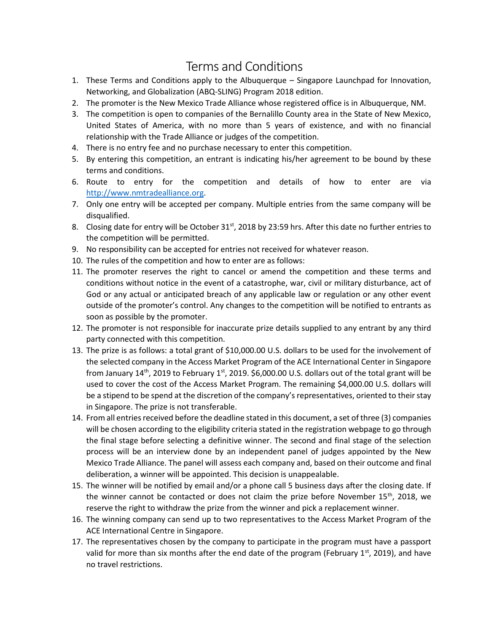## Terms and Conditions

- 1. These Terms and Conditions apply to the Albuquerque Singapore Launchpad for Innovation, Networking, and Globalization (ABQ-SLING) Program 2018 edition.
- 2. The promoter is the New Mexico Trade Alliance whose registered office is in Albuquerque, NM.
- 3. The competition is open to companies of the Bernalillo County area in the State of New Mexico, United States of America, with no more than 5 years of existence, and with no financial relationship with the Trade Alliance or judges of the competition.
- 4. There is no entry fee and no purchase necessary to enter this competition.
- 5. By entering this competition, an entrant is indicating his/her agreement to be bound by these terms and conditions.
- 6. Route to entry for the competition and details of how to enter are via [http://www.nmtradealliance.o](http://www.nmtradealliance./)rg.
- 7. Only one entry will be accepted per company. Multiple entries from the same company will be disqualified.
- 8. Closing date for entry will be October 31<sup>st</sup>, 2018 by 23:59 hrs. After this date no further entries to the competition will be permitted.
- 9. No responsibility can be accepted for entries not received for whatever reason.
- 10. The rules of the competition and how to enter are as follows:
- 11. The promoter reserves the right to cancel or amend the competition and these terms and conditions without notice in the event of a catastrophe, war, civil or military disturbance, act of God or any actual or anticipated breach of any applicable law or regulation or any other event outside of the promoter's control. Any changes to the competition will be notified to entrants as soon as possible by the promoter.
- 12. The promoter is not responsible for inaccurate prize details supplied to any entrant by any third party connected with this competition.
- 13. The prize is as follows: a total grant of \$10,000.00 U.S. dollars to be used for the involvement of the selected company in the Access Market Program of the ACE International Center in Singapore from January 14<sup>th</sup>, 2019 to February 1<sup>st</sup>, 2019. \$6,000.00 U.S. dollars out of the total grant will be used to cover the cost of the Access Market Program. The remaining \$4,000.00 U.S. dollars will be a stipend to be spend at the discretion of the company's representatives, oriented to their stay in Singapore. The prize is not transferable.
- 14. From all entries received before the deadline stated in this document, a set of three (3) companies will be chosen according to the eligibility criteria stated in the registration webpage to go through the final stage before selecting a definitive winner. The second and final stage of the selection process will be an interview done by an independent panel of judges appointed by the New Mexico Trade Alliance. The panel will assess each company and, based on their outcome and final deliberation, a winner will be appointed. This decision is unappealable.
- 15. The winner will be notified by email and/or a phone call 5 business days after the closing date. If the winner cannot be contacted or does not claim the prize before November 15<sup>th</sup>, 2018, we reserve the right to withdraw the prize from the winner and pick a replacement winner.
- 16. The winning company can send up to two representatives to the Access Market Program of the ACE International Centre in Singapore.
- 17. The representatives chosen by the company to participate in the program must have a passport valid for more than six months after the end date of the program (February  $1^{st}$ , 2019), and have no travel restrictions.